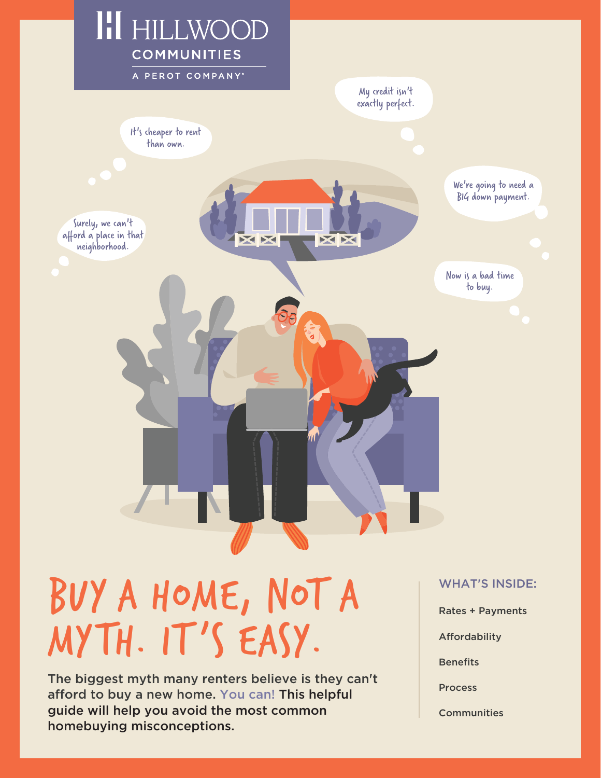

# BUY A HOME, NOT A NOT A MYTH. IT'S EASY.

The biggest myth many renters believe is they can't afford to buy a new home. You can! This helpful guide will help you avoid the most common homebuying misconceptions.

- Rates + Payments
- Affordability

**Benefits** 

**Process** 

**Communities**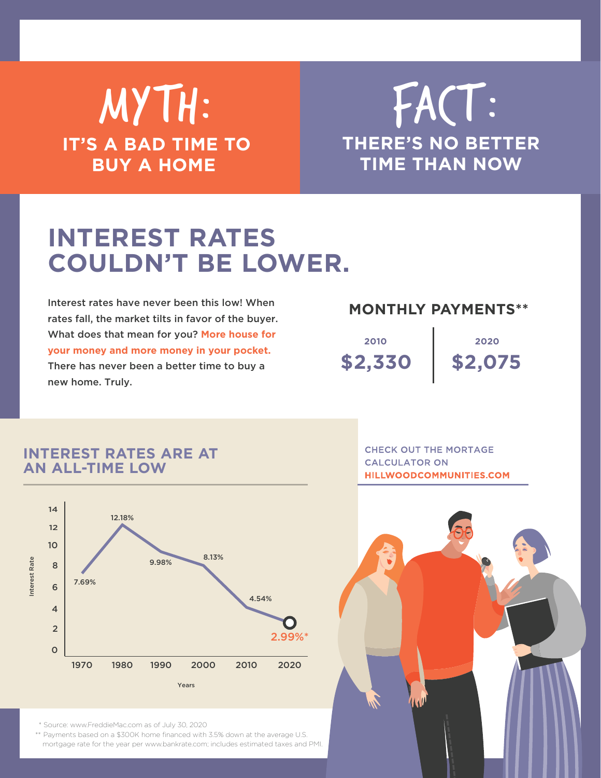### MYTH: **IT'S A BAD TIME TO BUY A HOME**

### **THERE'S NO BETTER TIME THAN NOW** FACT:

### **INTEREST RATES COULDN'T BE LOWER.**

Interest rates have never been this low! When rates fall, the market tilts in favor of the buyer. What does that mean for you? **More house for your money and more money in your pocket.**  There has never been a better time to buy a new home. Truly.

#### **MONTHLY PAYMENTS\*\***

**\$2,330 2010**

**\$2,075 2020**

#### **INTEREST RATES ARE AT AN ALL-TIME LOW**



**CHECK OUT THE MORTAGE CALCULATOR ON HILLWOODCOMMUNITIES.COM** 



\* Source: www.FreddieMac.com as of July 30, 2020

\*\* Payments based on a \$300K home financed with 3.5% down at the average U.S. mortgage rate for the year per www.bankrate.com; includes estimated taxes and PMI.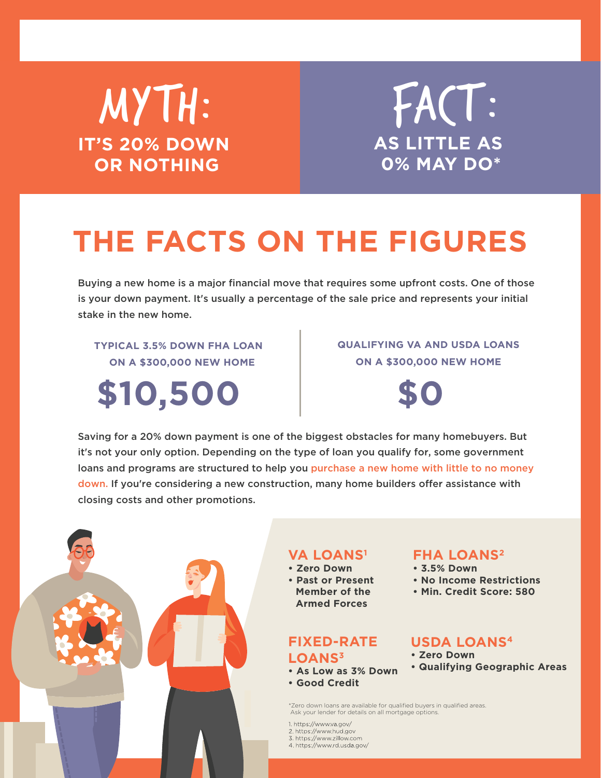### MYTH: **IT'S 20% DOWN OR NOTHING**

**AS LITTLE AS 0% MAY DO\*** FACT:

## **THE FACTS ON THE FIGURES**

Buying a new home is a major financial move that requires some upfront costs. One of those is your down payment. It's usually a percentage of the sale price and represents your initial stake in the new home.

**TYPICAL 3.5% DOWN FHA LOAN ON A \$300,000 NEW HOME**

**\$10,500 \$0**

#### **QUALIFYING VA AND USDA LOANS ON A \$300,000 NEW HOME**



Saving for a 20% down payment is one of the biggest obstacles for many homebuyers. But it's not your only option. Depending on the type of loan you qualify for, some government loans and programs are structured to help you purchase a new home with little to no money down. If you're considering a new construction, many home builders offer assistance with closing costs and other promotions.



#### **VA LOANS1**

- **• Zero Down**
- **• Past or Present Member of the Armed Forces**

#### **FIXED-RATE**

- **LOANS3**
- **• As Low as 3% Down**
- **• Good Credit**

#### **FHA LOANS2 • 3.5% Down**

- 
- **• No Income Restrictions**
- **Min. Credit Score: 580**

#### **USDA LOANS4**

- **• Zero Down**
- **Qualifying Geographic Areas**

\*Zero down loans are available for qualified buyers in qualified areas. Ask your lender for details on all mortgage options.

- 1. https://www.va.gov/
- 2. https://www.hud.gov
- 3. https://www.zillow.com 4. https://www.rd.usda.gov/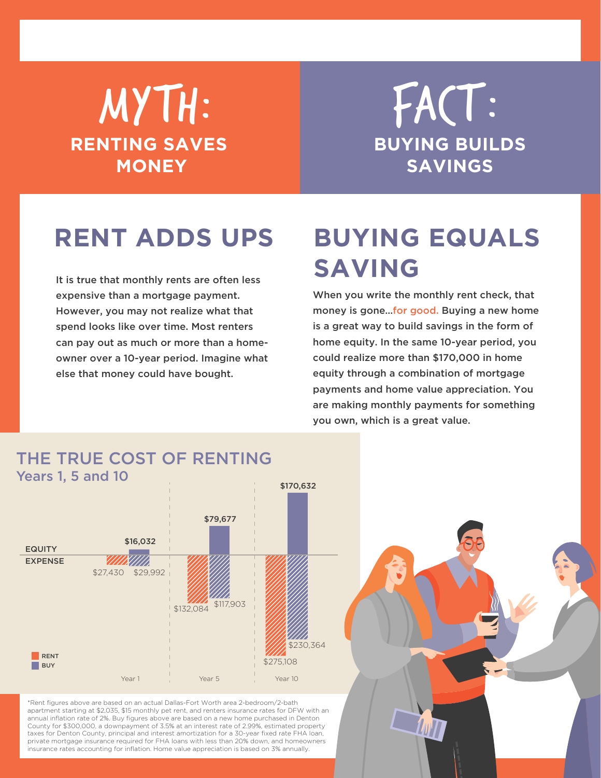### MYTH: **RENTING SAVES MONEY**

**BUYING BUILDS SAVINGS** FACT:

### **RENT ADDS UPS**

It is true that monthly rents are often less expensive than a mortgage payment. However, you may not realize what that spend looks like over time. Most renters can pay out as much or more than a homeowner over a 10-year period. Imagine what else that money could have bought.

### **BUYING EQUALS SAVING**

When you write the monthly rent check, that money is gone…for good. Buying a new home is a great way to build savings in the form of home equity. In the same 10-year period, you could realize more than \$170,000 in home equity through a combination of mortgage payments and home value appreciation. You are making monthly payments for something you own, which is a great value.

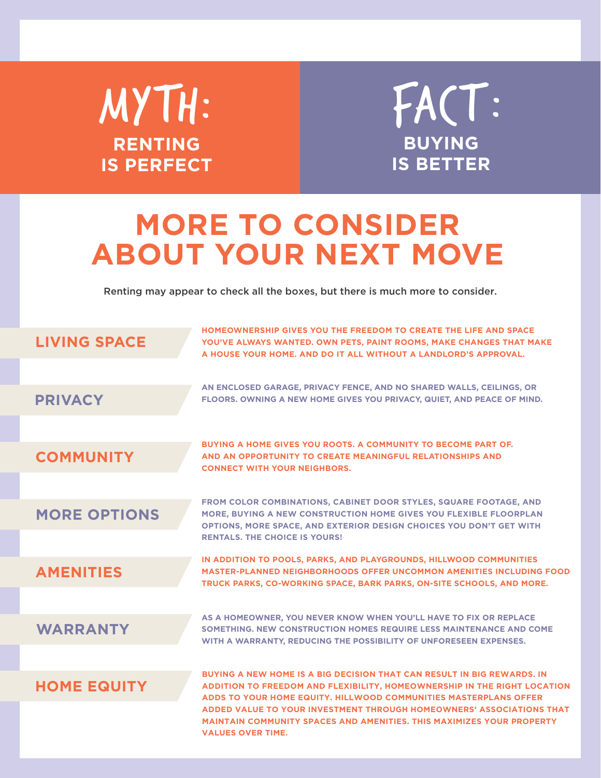MYTH: **RENTING IS PERFECT**



### **MORE TO CONSIDER ABOUT YOUR NEXT MOVE**

Renting may appear to check all the boxes, but there is much more to consider.

| <b>LIVING SPACE</b> | HOMEOWNERSHIP GIVES YOU THE FREEDOM TO CREATE THE LIFE AND SPACE<br>YOU'VE ALWAYS WANTED. OWN PETS, PAINT ROOMS, MAKE CHANGES THAT MAKE<br>A HOUSE YOUR HOME. AND DO IT ALL WITHOUT A LANDLORD'S APPROVAL.                                            |
|---------------------|-------------------------------------------------------------------------------------------------------------------------------------------------------------------------------------------------------------------------------------------------------|
| <b>PRIVACY</b>      | AN ENCLOSED GARAGE, PRIVACY FENCE, AND NO SHARED WALLS, CEILINGS, OR<br>FLOORS. OWNING A NEW HOME GIVES YOU PRIVACY, QUIET, AND PEACE OF MIND.                                                                                                        |
| <b>COMMUNITY</b>    | BUYING A HOME GIVES YOU ROOTS. A COMMUNITY TO BECOME PART OF.<br>AND AN OPPORTUNITY TO CREATE MEANINGFUL RELATIONSHIPS AND<br><b>CONNECT WITH YOUR NEIGHBORS.</b>                                                                                     |
| <b>MORE OPTIONS</b> | FROM COLOR COMBINATIONS, CABINET DOOR STYLES, SQUARE FOOTAGE, AND<br>MORE. BUYING A NEW CONSTRUCTION HOME GIVES YOU FLEXIBLE FLOORPLAN<br>OPTIONS, MORE SPACE, AND EXTERIOR DESIGN CHOICES YOU DON'T GET WITH<br><b>RENTALS. THE CHOICE IS YOURS!</b> |
| <b>AMENITIES</b>    | IN ADDITION TO POOLS, PARKS, AND PLAYGROUNDS, HILLWOOD COMMUNITIES<br><b>MASTER-PLANNED NEIGHBORHOODS OFFER UNCOMMON AMENITIES INCLUDING FOOD</b><br>TRUCK PARKS, CO-WORKING SPACE, BARK PARKS, ON-SITE SCHOOLS, AND MORE.                            |
| <b>WARRANTY</b>     | AS A HOMEOWNER, YOU NEVER KNOW WHEN YOU'LL HAVE TO FIX OR REPLACE<br>SOMETHING, NEW CONSTRUCTION HOMES REQUIRE LESS MAINTENANCE AND COME<br>WITH A WARRANTY, REDUCING THE POSSIBILITY OF UNFORESEEN EXPENSES.                                         |
| <b>HOME EQUITY</b>  | <b>BUYING A NEW HOME IS A BIG DECISION THAT CAN RESULT IN BIG REWARDS. IN</b><br>ADDITION TO FREEDOM AND FLEXIBILITY, HOMEOWNERSHIP IN THE RIGHT LOCATION<br>ADDS TO YOUR HOME EQUITY, HILLWOOD COMMUNITIES MASTERPLANS OFFER                         |
|                     | ADDED VALUE TO YOUR INVESTMENT THROUGH HOMEOWNERS' ASSOCIATIONS THAT<br><b>MAINTAIN COMMUNITY SPACES AND AMENITIES. THIS MAXIMIZES YOUR PROPERTY</b><br><b>VALUES OVER TIME.</b>                                                                      |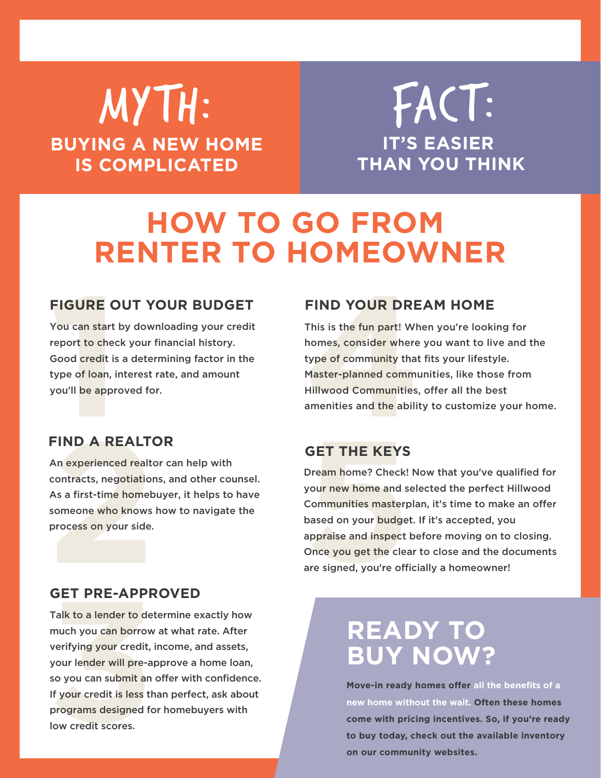### MYTH: **BUYING A NEW HOME IS COMPLICATED**

**IT'S EASIER THAN YOU THINK** FACT:

### **HOW TO GO FROM RENTER TO HOMEOWNER**

#### **FIGURE OUT YOUR BUDGET**

**1** You can start by downloading your credit report to check your financial history. Good credit is a determining factor in the type of loan, interest rate, and amount you'll be approved for.

#### **FIND YOUR DREAM HOME**

**FIND YOUR DRE**<br>This is the fun part! Wh<br>homes, consider where<br>type of community that<br>Master-planned commu<br>Hillwood Communities,<br>amenities and the abilit<br>GET THE KEYS This is the fun part! When you're looking for homes, consider where you want to live and the type of community that fits your lifestyle. Master-planned communities, like those from Hillwood Communities, offer all the best amenities and the ability to customize your home.

#### **FIND A REALTOR**

**FIND A REALT(**<br>An experienced realtd<br>contracts, negotiatior<br>As a first-time homeb<br>someone who knows<br>process on your side.<br>**GET PRE-APPR** An experienced realtor can help with contracts, negotiations, and other counsel. As a first-time homebuyer, it helps to have someone who knows how to navigate the process on your side.

#### **GET THE KEYS**

**GET THE KEYS**<br>Dream home? Check!<br>your new home and se<br>Communities masterp<br>based on your budget<br>appraise and inspect l<br>Once you get the clea<br>are signed, you're offi Dream home? Check! Now that you've qualified for your new home and selected the perfect Hillwood Communities masterplan, it's time to make an offer based on your budget. If it's accepted, you appraise and inspect before moving on to closing. Once you get the clear to close and the documents are signed, you're officially a homeowner!

#### **GET PRE-APPROVED**

**GET PRE-APPR**<br>Talk to a lender to det<br>much you can borrow<br>verifying your credit,<br>your lender will pre-al<br>so you can submit an<br>If your credit is less th<br>programs designed fc<br>low credit scores. Talk to a lender to determine exactly how much you can borrow at what rate. After verifying your credit, income, and assets, your lender will pre-approve a home loan, so you can submit an offer with confidence. If your credit is less than perfect, ask about programs designed for homebuyers with low credit scores.

### **READY TO BUY NOW?**

**Move-in ready homes offer all the benefits of a new home without the wait. Often these homes come with pricing incentives. So, if you're ready to buy today, check out the available inventory on our community websites.**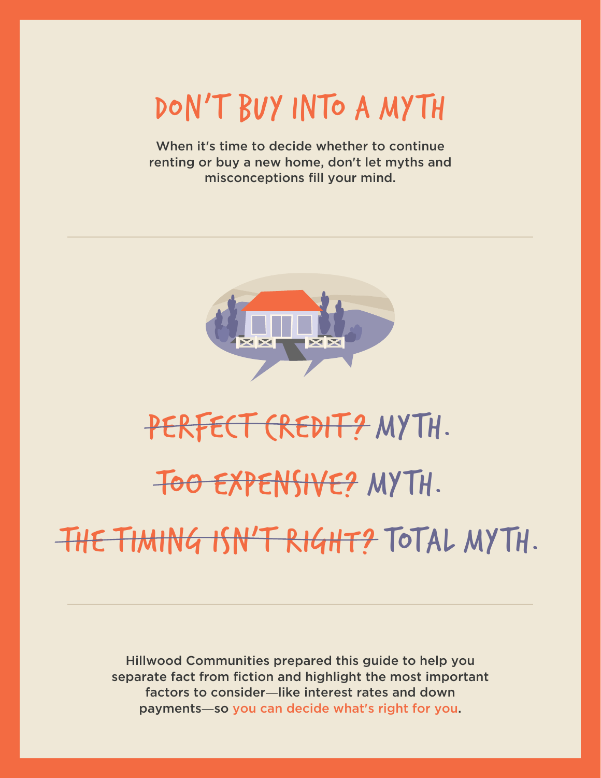DON'T BUY INTO A MYTH

When it's time to decide whether to continue renting or buy a new home, don't let myths and misconceptions fill your mind.



# PERFECT CREDIT? MYTH. TOO EXPENSIVE? MYTH.

THE TIMING ISN'T RIGHT? TOTAL MYTH.

Hillwood Communities prepared this guide to help you separate fact from fiction and highlight the most important factors to consider—like interest rates and down payments—so you can decide what's right for you.